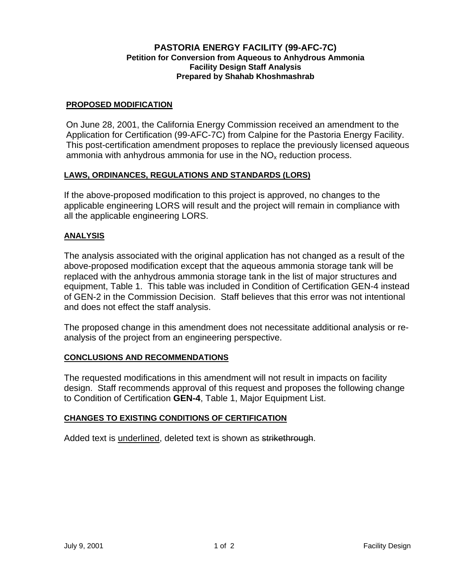## **PASTORIA ENERGY FACILITY (99-AFC-7C) Petition for Conversion from Aqueous to Anhydrous Ammonia Facility Design Staff Analysis Prepared by Shahab Khoshmashrab**

### **PROPOSED MODIFICATION**

On June 28, 2001, the California Energy Commission received an amendment to the Application for Certification (99-AFC-7C) from Calpine for the Pastoria Energy Facility. This post-certification amendment proposes to replace the previously licensed aqueous ammonia with anhydrous ammonia for use in the  $NO<sub>x</sub>$  reduction process.

## **LAWS, ORDINANCES, REGULATIONS AND STANDARDS (LORS)**

If the above-proposed modification to this project is approved, no changes to the applicable engineering LORS will result and the project will remain in compliance with all the applicable engineering LORS.

### **ANALYSIS**

The analysis associated with the original application has not changed as a result of the above-proposed modification except that the aqueous ammonia storage tank will be replaced with the anhydrous ammonia storage tank in the list of major structures and equipment, Table 1. This table was included in Condition of Certification GEN-4 instead of GEN-2 in the Commission Decision. Staff believes that this error was not intentional and does not effect the staff analysis.

The proposed change in this amendment does not necessitate additional analysis or reanalysis of the project from an engineering perspective.

#### **CONCLUSIONS AND RECOMMENDATIONS**

The requested modifications in this amendment will not result in impacts on facility design. Staff recommends approval of this request and proposes the following change to Condition of Certification **GEN-4**, Table 1, Major Equipment List.

#### **CHANGES TO EXISTING CONDITIONS OF CERTIFICATION**

Added text is underlined, deleted text is shown as strikethrough.